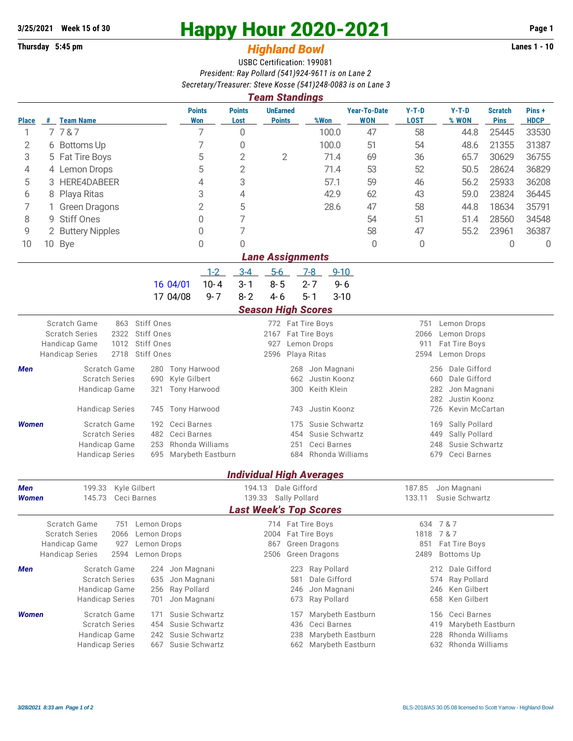## **Thursday 5:45 pm** *Highland Bowl* **Lanes 1 - 10**

## **3/25/2021 Week 15 of 30 Happy Hour 2020-2021 Page 1**

## USBC Certification: 199081 *President: Ray Pollard (541)924-9611 is on Lane 2 Secretary/Treasurer: Steve Kosse (541)248-0083 is on Lane 3*

| <b>Team Standings</b> |   |                                                        |                            |                             |                                                            |                                  |                                                |                             |                            |                        |                                        |                               |                      |  |  |  |  |
|-----------------------|---|--------------------------------------------------------|----------------------------|-----------------------------|------------------------------------------------------------|----------------------------------|------------------------------------------------|-----------------------------|----------------------------|------------------------|----------------------------------------|-------------------------------|----------------------|--|--|--|--|
| <b>Place</b>          |   | # Team Name                                            |                            | <b>Points</b><br><b>Won</b> | <b>Points</b><br>Lost                                      | <b>UnEarned</b><br><b>Points</b> | %Won                                           |                             | <b>Year-To-Date</b><br>WON | $Y-T-D$<br><b>LOST</b> | $Y-T-D$<br>% WON                       | <b>Scratch</b><br><b>Pins</b> | Pins+<br><b>HDCP</b> |  |  |  |  |
| 1                     |   | 7787                                                   |                            | 7                           | 0                                                          |                                  |                                                | 100.0                       | 47                         | 58                     | 44.8                                   | 25445                         | 33530                |  |  |  |  |
| 2                     |   | 6 Bottoms Up                                           |                            | 7                           | 0                                                          |                                  |                                                | 100.0                       | 51                         | 54                     | 48.6                                   | 21355                         | 31387                |  |  |  |  |
| 3                     |   | 5 Fat Tire Boys                                        |                            | 5                           | $\overline{2}$                                             | $\overline{2}$                   |                                                | 71.4                        | 69                         | 36                     | 65.7                                   | 30629                         | 36755                |  |  |  |  |
| 4                     |   | 4 Lemon Drops                                          |                            | 5                           | $\overline{2}$                                             |                                  |                                                | 71.4                        | 53                         | 52                     | 50.5                                   | 28624                         | 36829                |  |  |  |  |
| 5                     |   | HERE4DABEER                                            |                            | 4                           | 3                                                          |                                  |                                                | 57.1                        | 59                         | 46                     | 56.2                                   | 25933                         | 36208                |  |  |  |  |
| 6                     | 8 | Playa Ritas                                            |                            | 3                           | 4                                                          |                                  |                                                | 42.9                        | 62                         | 43                     | 59.0                                   | 23824                         | 36445                |  |  |  |  |
| 7                     |   | <b>Green Dragons</b>                                   |                            | $\overline{2}$              | 5                                                          |                                  |                                                | 28.6                        | 47                         | 58                     | 44.8                                   | 18634                         | 35791                |  |  |  |  |
| 8                     | 9 | <b>Stiff Ones</b>                                      |                            | 0                           | 7                                                          |                                  |                                                |                             | 54                         | 51                     | 51.4                                   | 28560                         | 34548                |  |  |  |  |
| 9                     |   | 2 Buttery Nipples                                      |                            | 0                           | 7                                                          |                                  |                                                |                             | 58                         | 47                     | 55.2                                   | 23961                         | 36387                |  |  |  |  |
| 10                    |   | 10 Bye                                                 |                            | 0                           | 0                                                          |                                  |                                                |                             | 0                          | 0                      |                                        | $\theta$                      | $\overline{0}$       |  |  |  |  |
|                       |   |                                                        |                            |                             |                                                            |                                  | <b>Lane Assignments</b>                        |                             |                            |                        |                                        |                               |                      |  |  |  |  |
|                       |   |                                                        |                            | $-1-2$                      | $3 - 4$                                                    | $5-6$                            | $7-8$                                          | $9 - 10$                    |                            |                        |                                        |                               |                      |  |  |  |  |
|                       |   |                                                        | 16 04/01                   | $10 - 4$                    | $3 - 1$                                                    | $8 - 5$                          | $2 - 7$                                        | $9 - 6$                     |                            |                        |                                        |                               |                      |  |  |  |  |
|                       |   |                                                        | 17 04/08                   | $9 - 7$                     | $8 - 2$                                                    | $4 - 6$                          | $5 - 1$                                        | $3 - 10$                    |                            |                        |                                        |                               |                      |  |  |  |  |
|                       |   |                                                        |                            |                             |                                                            |                                  | <b>Season High Scores</b>                      |                             |                            |                        |                                        |                               |                      |  |  |  |  |
|                       |   | Scratch Game<br>863                                    | Stiff Ones                 |                             |                                                            |                                  | 772 Fat Tire Boys                              |                             |                            | 751                    | Lemon Drops                            |                               |                      |  |  |  |  |
|                       |   | 2322<br><b>Scratch Series</b><br>1012<br>Handicap Game | Stiff Ones<br>Stiff Ones   |                             | 2167<br>Fat Tire Boys<br>2066<br>927<br>Lemon Drops<br>911 |                                  |                                                |                             |                            |                        |                                        | Lemon Drops<br>Fat Tire Boys  |                      |  |  |  |  |
|                       |   | 2718<br><b>Handicap Series</b>                         | Stiff Ones                 |                             |                                                            | 2596                             | Playa Ritas                                    |                             |                            | 2594                   | Lemon Drops                            |                               |                      |  |  |  |  |
| Men                   |   | Scratch Game                                           |                            | 280 Tony Harwood            |                                                            |                                  | Jon Magnani<br>268                             |                             |                            |                        | Dale Gifford<br>256                    |                               |                      |  |  |  |  |
|                       |   | <b>Scratch Series</b>                                  | Kyle Gilbert               | 662<br>Justin Koonz         |                                                            |                                  |                                                |                             |                            | 660<br>Dale Gifford    |                                        |                               |                      |  |  |  |  |
|                       |   | Handicap Game                                          | Tony Harwood               | Keith Klein<br>300<br>282   |                                                            |                                  |                                                |                             |                            | Jon Magnani            |                                        |                               |                      |  |  |  |  |
|                       |   |                                                        |                            |                             |                                                            |                                  |                                                |                             |                            |                        | 282<br>Justin Koonz                    |                               |                      |  |  |  |  |
|                       |   | <b>Handicap Series</b>                                 | 745                        | <b>Tony Harwood</b>         |                                                            |                                  | Justin Koonz<br>743                            |                             |                            |                        | 726<br>Kevin McCartan                  |                               |                      |  |  |  |  |
| <b>Women</b>          |   | Scratch Game<br><b>Scratch Series</b>                  | 192<br>482                 | Ceci Barnes<br>Ceci Barnes  |                                                            |                                  | Susie Schwartz<br>175<br>Susie Schwartz<br>454 |                             |                            |                        | Sally Pollard<br>169<br>449            |                               |                      |  |  |  |  |
|                       |   | Handicap Game                                          | 253                        | Rhonda Williams             |                                                            |                                  | Ceci Barnes<br>251                             |                             |                            |                        | Sally Pollard<br>Susie Schwartz<br>248 |                               |                      |  |  |  |  |
|                       |   | <b>Handicap Series</b>                                 | 695                        | Marybeth Eastburn           |                                                            |                                  | 684                                            |                             | Rhonda Williams            |                        | 679<br>Ceci Barnes                     |                               |                      |  |  |  |  |
|                       |   |                                                        |                            |                             |                                                            |                                  | <b>Individual High Averages</b>                |                             |                            |                        |                                        |                               |                      |  |  |  |  |
| Men                   |   | Kyle Gilbert<br>199.33                                 |                            |                             | 194.13                                                     |                                  | Dale Gifford                                   |                             |                            | 187.85                 | Jon Magnani                            |                               |                      |  |  |  |  |
| <b>Women</b>          |   | 145.73<br>Ceci Barnes                                  |                            |                             | 139.33                                                     |                                  | Sally Pollard                                  |                             |                            | 133.11                 | Susie Schwartz                         |                               |                      |  |  |  |  |
|                       |   |                                                        |                            |                             |                                                            |                                  | <b>Last Week's Top Scores</b>                  |                             |                            |                        |                                        |                               |                      |  |  |  |  |
|                       |   | Scratch Game<br>751                                    | Lemon Drops                |                             |                                                            |                                  | 714 Fat Tire Boys                              |                             |                            |                        | 634 7 & 7                              |                               |                      |  |  |  |  |
|                       |   | <b>Scratch Series</b><br>2066<br>Handicap Game<br>927  | Lemon Drops<br>Lemon Drops |                             |                                                            | 867                              | 2004 Fat Tire Boys<br>Green Dragons            |                             |                            | 1818<br>851            | 7 & 7<br>Fat Tire Boys                 |                               |                      |  |  |  |  |
|                       |   | <b>Handicap Series</b><br>2594                         | Lemon Drops                |                             |                                                            | 2506                             | Green Dragons                                  |                             |                            | 2489                   | <b>Bottoms Up</b>                      |                               |                      |  |  |  |  |
| Men                   |   | Scratch Game                                           |                            |                             |                                                            |                                  | 223                                            |                             |                            |                        |                                        |                               |                      |  |  |  |  |
|                       |   | 224<br><b>Scratch Series</b><br>635                    |                            | Jon Magnani<br>Jon Magnani  |                                                            |                                  | 581                                            | Ray Pollard<br>Dale Gifford |                            |                        | 212 Dale Gifford<br>574<br>Ray Pollard |                               |                      |  |  |  |  |
|                       |   | Handicap Game                                          | Ray Pollard                |                             |                                                            | 246                              | Jon Magnani                                    |                             |                            | Ken Gilbert<br>246     |                                        |                               |                      |  |  |  |  |
|                       |   | <b>Handicap Series</b>                                 | 701                        | Jon Magnani                 |                                                            |                                  | Ray Pollard<br>673                             |                             |                            |                        | Ken Gilbert<br>658                     |                               |                      |  |  |  |  |
| <b>Women</b>          |   | Scratch Game                                           | 171                        | Susie Schwartz              |                                                            |                                  | 157                                            |                             | Marybeth Eastburn          |                        | Ceci Barnes<br>156                     |                               |                      |  |  |  |  |
|                       |   | <b>Scratch Series</b>                                  | 454                        | Susie Schwartz              | 436<br>Ceci Barnes<br>419                                  |                                  |                                                |                             |                            |                        | Marybeth Eastburn                      |                               |                      |  |  |  |  |
|                       |   | Handicap Game                                          | 242                        | Susie Schwartz              |                                                            |                                  | 238                                            |                             | Marybeth Eastburn          |                        | Rhonda Williams<br>228                 |                               |                      |  |  |  |  |
|                       |   | <b>Handicap Series</b>                                 | 667                        | Susie Schwartz              |                                                            |                                  | 662                                            |                             | Marybeth Eastburn          |                        | 632 Rhonda Williams                    |                               |                      |  |  |  |  |